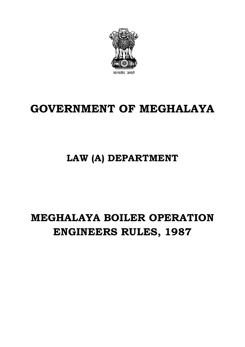

# **GOVERNMENT OF MEGHALAYA**

# **LAW (A) DEPARTMENT**

# **MEGHALAYA BOILER OPERATION ENGINEERS RULES, 1987**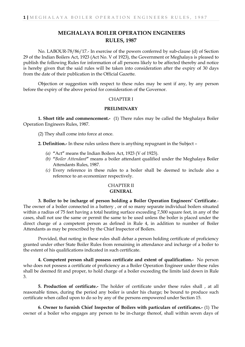# **MEGHALAYA BOILER OPERATION ENGINEERS RULES, 1987**

No. LABOUR-78/86/17.- In exercise of the powers conferred by sub-clause (d) of Section 29 of the Indian Boilers Act, 1923 (Act No. V of 1923), the Government or Meghalaya is pleased to publish the following Rules for information of all persons likely to be affected thereby and notice is hereby given that the said rules will be taken into consideration after the expiry of 30 days from the date of their publication in the Official Gazette.

Objection or suggestion with respect to these rules may be sent if any, by any person before the expiry of the above period for consideration of the Governor.

#### CHAPTER I

#### **PRELIMINARY**

**1. Short title and commencement.-** (1) There rules may be called the Meghalaya Boiler Operation Engineers Rules, 1987.

(2) They shall come into force at once.

**2. Definition.-** In these rules unless there is anything repugnant in the Subject –

- *(a)* **"**Act**"** means the Indian Boilers Act, 1923 (V of 1923).
- *(b)* **"***Boiler Attendant***"** means a boiler attendant qualified under the Meghalaya Boiler Attendants Rules, 1987.
- *(c)* Every reference in these rules to a boiler shall be deemed to include also a reference to an economizer respectively.

### CHAPTER II **GENERAL**

**3. Boiler to be incharge of person holding a Boiler Operation Engineers' Certificate**.- The owner of a boiler connected in a battery , or of so many separate individual boilers situated within a radius of 75 feet having a total heating surface exceeding 7,500 square feet, in any of the cases, shall not use the same or permit the same to be used unless the boiler is placed under the direct charge of a competent person as defined in Rule 4, in addition to number of Boiler Attendants as may be prescribed by the Chief Inspector of Boilers.

Provided, that noting in these rules shall debar a person holding certificate of proficiency granted under other State Boiler Rules from remaining in attendance and incharge of a boiler to the extent of his qualifications indicated in such certificate.

**4. Competent person shall possess certificate and extent of qualification.-** No person who does not possess a certificate of proficiency as a Boiler Operation Engineer under these rules shall be deemed fit and proper, to hold charge of a boiler exceeding the limits laid down in Rule 3.

**5. Production of certificate.-** The holder of certificate under these rules shall , at all reasonable times, during the period any boiler is under his charge; be bound to produce such certificate when called upon to do so by any of the persons empowered under Section 15.

**6. Owner to furnish Chief Inspector of Boilers with particulars of certificates.-** (1) The owner of a boiler who engages any person to be in-charge thereof, shall within seven days of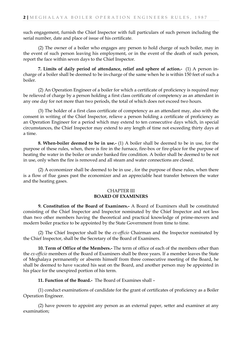such engagement, furnish the Chief Inspector with full particulars of such person including the serial number, date and place of issue of his certificate.

(2) The owner of a boiler who engages any person to hold charge of such boiler, may in the event of such person leaving his employment, or in the event of the death of such person, report the face within seven days to the Chief Inspector.

**7. Limits of daily period of attendance, relief and sphere of action.-** (1) A person incharge of a boiler shall be deemed to be in-charge of the same when he is within 150 feet of such a boiler.

(2) An Operation Engineer of a boiler for which a certificate of proficiency is required may be relieved of charge by a person holding a first class certificate of competency as an attendant in any one day for not more than two periods, the total of which does not exceed two hours.

(3) The holder of a first class certificate of competency as an attendant may, also with the consent in writing of the Chief Inspector, relieve a person holding a certificate of proficiency as an Operation Engineer for a period which may extend to ten consecutive days which, in special circumstances, the Chief Inspector may extend to any length of time not exceeding thirty days at a time.

**8. When-boiler deemed to be in use.-** (1) A boiler shall be deemed to be in use, for the purpose of these rules, when, there is fire in the furnace, fire-box or fire-place for the purpose of heating the water in the boiler or under banked fire condition. A boiler shall be deemed to be not in use, only when the fire is removed and all steam and water connections are closed.

(2) A economizer shall be deemed to be in use , for the purpose of these rules, when there is a flow of flue gases past the economizer and an appreciable heat transfer between the water and the heating gases.

#### CHAPTER III **BOARD OF EXAMINERS**

**9. Constitution of the Board of Examiners.-** A Board of Examiners shall be constituted consisting of the Chief Inspector and Inspector nominated by the Chief Inspector and not less than two other members having the theoretical and practical knowledge of prime-movers and modern boiler practice to be appointed by the State Government from time to time.

(2) The Chief Inspector shall be the *ex-officio* Chairman and the Inspector nominated by the Chief Inspector, shall be the Secretary of the Board of Examiners.

**10. Term of Office of the Members.-** The term of office of each of the members other than the *ex-officio* members of the Board of Examiners shall be three years. If a member leaves the State of Meghalaya permanently or absents himself from three consecutive meeting of the Board, he shall be deemed to have vacated his seat on the Board, and another person may be appointed in his place for the unexpired portion of his term.

**11. Function of the Board.-** The Board of Examines shall –

(1) conduct examinations of candidate for the grant of certificates of proficiency as a Boiler Operation Engineer.

(2) have powers to appoint any person as an external paper, setter and examiner at any examination;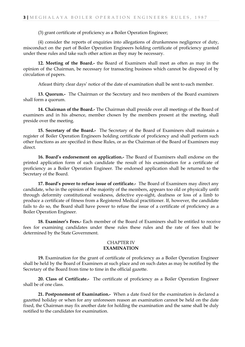(3) grant certificate of proficiency as a Boiler Operation Engineer;

(4) consider the reports of enquiries into allegations of drunkenness negligence of duty, misconduct on the part of Boiler Operation Engineers holding certificate of proficiency granted under these rules and take such other action as they may be necessary.

**12. Meeting of the Board.-** the Board of Examiners shall meet as often as may in the opinion of the Chairman, be necessary for transacting business which cannot be disposed of by circulation of papers.

Atleast thirty clear days' notice of the date of examination shall be sent to each member.

**13. Quorum.-** The Chairman or the Secretary and two members of the Board examiners shall form a quorum.

**14. Chairman of the Board.-** The Chairman shall preside over all meetings of the Board of examiners and in his absence, member chosen by the members present at the meeting, shall preside over the meeting.

**15. Secretary of the Board.-** The Secretary of the Board of Examiners shall maintain a register of Boiler Operation Engineers holding certificate of proficiency and shall perform such other functions as are specified in these Rules, or as the Chairman of the Board of Examiners may direct.

**16. Board's endorsement on application.-** The Board of Examiners shall endorse on the printed application form of each candidate the result of his examination for a certificate of proficiency as a Boiler Operation Engineer. The endorsed application shall be returned to the Secretary of the Board.

**17. Board's power to refuse issue of certificate.-** The Board of Examiners may direct any candidate, who in the opinion of the majority of the members, appears too old or physically unfit through deformity constitutional weakness, defective eye-sight, deafness or loss of a limb to produce a certificate of fitness from a Registered Medical practitioner. If, however, the candidate fails to do so, the Board shall have power to refuse the issue of a certificate of proficiency as a Boiler Operation Engineer.

**18. Examiner's Fees.-** Each member of the Board of Examiners shall be entitled to receive fees for examining candidates under these rules these rules and the rate of fees shall be determined by the State Government.

### CHAPTER IV **EXAMINATION**

**19.** Examination for the grant of certificate of proficiency as a Boiler Operation Engineer shall be held by the Board of Examiners at such place and on such dates as may be notified by the Secretary of the Board from time to time in the official gazette.

**20. Class of Certificate.-** The certificate of proficiency as a Boiler Operation Engineer shall be of one class.

**21. Postponement of Examination.-** When a date fixed for the examination is declared a gazetted holiday or when for any unforeseen reason an examination cannot be held on the date fixed, the Chairman may fix another date for holding the examination and the same shall be duly notified to the candidates for examination.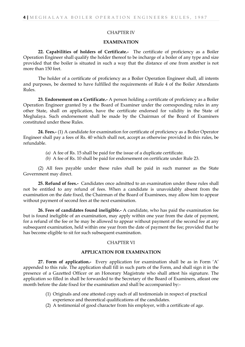#### CHAPTER IV

#### **EXAMINATION**

**22. Capabilities of holders of Certificate.-** The certificate of proficiency as a Boiler Operation Engineer shall qualify the holder thereof to be incharge of a boiler of any type and size provided that the boiler is situated in such a way that the distance of one from another is not more than 150 feet.

The holder of a certificate of proficiency as a Boiler Operation Engineer shall, all intents and purposes, be deemed to have fulfilled the requirements of Rule 4 of the Boiler Attendants Rules.

**23. Endorsement on a Certificate.-** A person holding a certificate of proficiency as a Boiler Operation Engineer granted by a the Board of Examiner under the corresponding rules in any other State, shall on application, have the certificate endorsed for validity in the State of Meghalaya. Such endorsement shall be made by the Chairman of the Board of Examiners constituted under these Rules.

**24. Fees.-** (1) A candidate for examination for certificate of proficiency as a Boiler Operator Engineer shall pay a fees of Rs. 40 which shall not, accept as otherwise provided in this rules, be refundable.

- *(a)* A fee of Rs. 15 shall be paid for the issue of a duplicate certificate.
- *(b)* A fee of Rs. 10 shall be paid for endorsement on certificate under Rule 23.

(2) All fees payable under these rules shall be paid in such manner as the State Government may direct.

**25. Refund of fees.-** Candidates once admitted to an examination under these rules shall not be entitled to any refund of fees. When a candidate is unavoidably absent from the examination on the date fixed, the Chairman of the Board of Examinees, may allow him to appear without payment of second fees at the next examination.

**26. Fees of candidates found ineligible.-** A candidate, who has paid the examination fee but is found ineligible of an examination, may apply within one year from the date of payment, for a refund of the fee or he may be allowed to appear without payment of the second fee at any subsequent examination, held within one year from the date of payment the fee; provided that he has become eligible to sit for such subsequent examination.

#### CHAPTER VI

#### **APPLICATION FOR EXAMINATION**

**27. Form of application.-** Every application for examination shall be as in Form 'A' appended to this rule. The application shall fill in such parts of the Form, and shall sign it in the presence of a Gazetted Officer or an Honorary Magistrate who shall attest his signature. The application so filled in shall be forwarded to the Secretary of the Board of Examiners, atleast one month before the date fixed for the examination and shall be accompanied by:-

- (1) Originals and one attested copy each of all testimonials in respect of practical experience and theoretical qualifications of the candidates.
- (2) A testimonial of good character from his employer, with a certificate of age.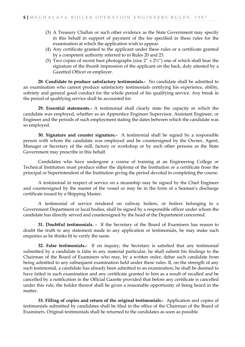- (3) A Treasury Challan or such other evidence as the State Government may specify in this behalf in support of payment of the fee specified in these rules for the examination at which the application wish to appear.
- (4) Any certificate granted to the applicant under these rules or a certificate granted by a competent authority referred to in Rules 20 and 23.
- (5) Two copies of recent bust photographs (size  $2'' \times 2^{1/2''}$ ) one of which shall bear the signature of the thumb impression of the applicant on the back, duly attested by a Gazetted Officer or employer.

**28. Candidate to produce satisfactory testimonials.-** No candidate shall be admitted to an examination who cannot produce satisfactory testimonials certifying his experience, ability, sobriety and general good conduct for the whole period of his qualifying service. Any break in the period of qualifying service shall be accounted for.

**29. Essential statements.-** A testimonial shall clearly state the capacity in which the candidate was employed, whether as an Apprentice Engineer Supervisor, Assistant Engineer, or Engineer and the periods of such employment stating the dates between which the candidate was so employed.

**30. Signature and counter signature.-** A testimonial shall be signed by a responsible person with whom the candidate was employed and be countersigned by the Owner, Agent, Manager or Secretary of the mill, factory or workshop or by such other persons as the State Government may prescribe in this behalf.

Candidates who have undergone a course of training at an Engineering College or Technical Institution must produce either the diploma of the Institution or a certificate from the principal or Superintendent of the Institution giving the period devoted in completing the course.

A testimonial in respect of service on a steamship may be signed by the Chief Engineer and countersigned by the master of the vessel or may be in the form of a Seaman's discharge certificate issued by a Shipping Master.

A testimonial of service rendered on railway boilers, or boilers belonging to a Government Department or local bodies, shall be signed by a responsible officer under whom the candidate has directly served and countersigned by the head of the Department concerned.

**31. Doubtful testimonials. -** If the Secretary of the Board of Examiners has reason to doubt the truth to any statement made in any application or testimonials, he may make such enquiries as he thinks fit to verify the same.

**32. False testimonials.-** If on inquiry, the Secretary is satisfied that any testimonial submitted by a candidate is false in any material particular, he shall submit his findings to the Chairman of the Board of Examiners who may, by a written order, debar such candidate from being admitted to any subsequent examination held under these rules. If, on the strength of any such testimonial, a candidate has already been admitted to an examination, he shall be deemed to have failed in such examination and any certificate granted to him as a result of recalled and be cancelled by a notification in the Official Gazette provided that before any certificate is cancelled under this rule, the holder thereof shall be given a reasonable opportunity of being heard in the matter.

**33. Filling of copies and return of the original testimonials.-** Application and copies of testimonials submitted by candidates shall be filed in the office of the Chairman of the Board of Examiners. Original testimonials shall be returned to the candidates as soon as possible.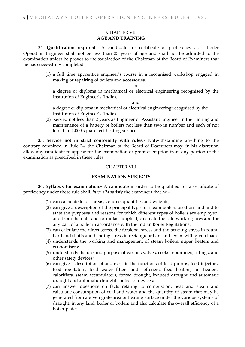# CHAPTER VII **AGE AND TRAINING**

34. **Qualification required:-** A candidate for certificate of proficiency as a Boiler Operation Engineer shall not be less than 23 years of age and shall not be admitted to the examination unless be proves to the satisfaction of the Chairman of the Board of Examiners that he has successfully completed :-

> (1) a full time apprentice engineer's course in a recognised workshop engaged in making or repairing of boilers and accessories.

#### or

a degree or diploma in mechanical or electrical engineering recognised by the Institution of Engineer's (India).

#### and

a degree or diploma in mechanical or electrical engineering recognised by the Institution of Engineer's (India).

(2) served not less than 2 years as Engineer or Assistant Engineer in the running and maintenance of a battery of boilers not less than two in number and each of not less than 1,000 square feet heating surface.

**35. Service not in strict conformity with rules.-** Notwithstanding anything to the contrary contained in Rule 34, the Chairman of the Board of Examiners may, in his discretion allow any candidate to appear for the examination or grant exemption from any portion of the examination as prescribed in these rules.

### CHAPTER VIII

#### **EXAMINATION SUBJECTS**

**36. Syllabus for examination.-** A candidate in order to be qualified for a certificate of proficiency under these rule shall, *inter alia* satisfy the examiners that he –

- (1) can calculate loads, areas, volume, quantities and weights;
- (2) can give a description of the principal types of steam boilers used on land and to state the purposes and reasons for which different types of boilers are employed; and from the data and formulas supplied, calculate the safe working pressure for any part of a boiler in accordance with the Indian Boiler Regulations;
- (3) can calculate the direct stress, the forsional stress and the bending stress in round bard and shafts and bending stress in rectangular bars and levers with given load;
- (4) understands the working and management of steam boilers, super heaters and economisers;
- (5) understands the use and purpose of various valves, cocks mountings, fittings, and other safety devices;
- (6) can give a description of and explain the functions of feed pumps, feed injectors, feed regulators, feed water filters and softeners, feed heaters, air heaters, calorifiers, steam accumulators, forced drought, induced drought and automatic draught and automatic draught control of devices;
- (7) can answer questions on facts relating to combustion, heat and steam and calculatic consumption of coal and water and the quantity of steam that may be generated from a given grate area or heating surface under the various systems of draught, in any land, boiler or boilers and also calculate the overall efficiency of a boiler plate;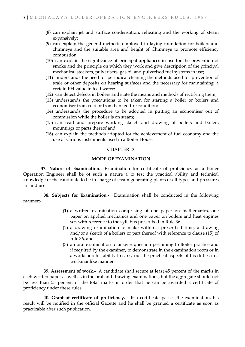- (8) can explain jet and surface condensation, reheating and the working of steam expansively;
- (9) can explain the general methods employed in laying foundation for boilers and chimneys and the suitable area and height of Chimneys to promote efficiency combustion;
- (10) can explain the significance of principal appliances in use for the prevention of smoke and the principle on which they work and give description of the principal mechanical stockers, pulverisers, gas oil and pulverised fuel systems in use;
- (11) understands the need for periodical cleaning the methods used for prevention of scale or other deposits on hearing surfaces and the necessary for maintaining, a certain PH value in feed water;
- (12) can detect defects in boilers and state the means and methods of rectifying them;
- (13) understands the precautions to be taken for starting a boiler or boilers and economiser from cold or from banked fire condition;
- (14) understands the procedure to be adopted in putting an economiser out of commission while the boiler is on steam;
- (15) can read and prepare working sketch and drawing of boilers and boilers mountings or parts thereof and;
- (16) can explain the methods adopted for the achievement of fuel economy and the use of various instruments used in a Boiler House.

#### CHAPTER IX

### **MODE OF EXAMINATION**

**37. Nature of Examination.-** Examination for certificate of proficiency as a Boiler Operation Engineer shall be of such a nature a to test the practical ability and technical knowledge of the candidate to be in-charge of steam generating plants of all types and pressures in land use.

**38. Subjects for Examination.-** Examination shall be conducted in the following manner:-

- (1) a written examination comprising of one paper on mathematics, one paper on applied mechanics and one paper on boilers and heat engines set, with reference to the syllabus prescribed in Rule 36.
- (2) a drawing examination to make within a prescribed time, a drawing and/or a sketch of a boilers or part thereof with reference to clause (15) of rule 36, and
- (3) an oral examination to answer question pertaining to Boiler practice and if required by the examiner, to demonstrate in the examination room or in a workshop his ability to carry out the practical aspects of his duties in a workmanlike manner.

**39. Assessment of work.-** A candidate shall secure at least 45 percent of the marks in each written paper as well as in the oral and drawing examinations; but the aggregate should not be less than 55 percent of the total marks in order that he can be awarded a certificate of proficiency under these rules.

**40. Grant of certificate of proficiency.-** If a certificate passes the examination, his result will be notified in the official Gazette and he shall be granted a certificate as soon as practicable after such publication.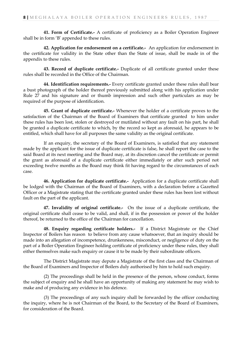**41. Form of Certificate.-** A certificate of proficiency as a Boiler Operation Engineer shall be in form 'B' appended to these rules.

**42. Application for endorsement on a certificate.-** An application for endorsement in the certificate for validity in the State other than the State of issue, shall be made in of the appendix to these rules.

**43. Record of duplicate certificate.-** Duplicate of all certificate granted under these rules shall be recorded in the Office of the Chairman.

**44. Identification requirements.-** Every certificate granted under these rules shall bear a bust photograph of the holder thereof previously submitted along with his application under Rule 27 and his signature and or thumb impression and such other particulars as may be required of the purpose of identification.

**45. Grant of duplicate certificate.-** Whenever the holder of a certificate proves to the satisfaction of the Chairman of the Board of Examiners that certificate granted to him under these rules has been lost, stolen or destroyed or mutilated without any fault on his part, he shall be granted a duplicate certificate to which, by the record so kept as aforesaid, he appears to be entitled, which shall have for all purposes the same validity as the original certificate.

If an enquiry, the secretary of the Board of Examiners, is satisfied that any statement made by the applicant for the issue of duplicate certificate is false, he shall report the case to the said Board at its next meeting and the Board may, at its discretion cancel the certificate or permit the grant as aforesaid of a duplicate certificate either immediately or after such period not exceeding twelve months as the Board may think fit having regard to the circumstances of each case.

**46. Application for duplicate certificate.-** Application for a duplicate certificate shall be lodged with the Chairman of the Board of Examiners, with a declaration before a Gazetted Officer or a Magistrate stating that the certificate granted under these rules has been lost without fault on the part of the applicant.

**47. Invalidity of original certificate.-** On the issue of a duplicate certificate, the original certificate shall cease to be valid, and shall, if in the possession or power of the holder thereof, be returned to the office of the Chairman for cancellation.

**48. Enquiry regarding certificate holders.-** If a District Magistrate or the Chief Inspector of Boilers has reason to believe from any cause whatsoever, that an inquiry should be made into an allegation of incompetence, drunkenness, misconduct, or negligence of duty on the part of a Boiler Operation Engineer holding certificate of proficiency under these rules, they shall either themselves make such enquiry or cause it to be made by their subordinate officers.

The District Magistrate may depute a Magistrate of the first class and the Chairman of the Board of Examiners and Inspector of Boilers duly authorised by him to hold such enquiry.

(2) The proceedings shall be held in the presence of the person, whose conduct, forms the subject of enquiry and he shall have an opportunity of making any statement he may wish to make and of producing any evidence in his defence.

(3) The proceedings of any such inquiry shall be forwarded by the officer conducting the inquiry, where he is not Chairman of the Board, to the Secretary of the Board of Examiners, for consideration of the Board.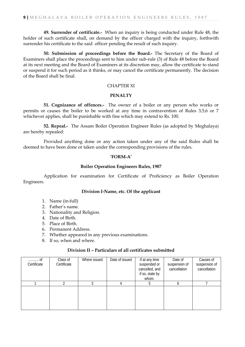**49. Surrender of certificate.-** When an inquiry is being conducted under Rule 48, the holder of such certificate shall, on demand by the officer charged with the inquiry, forthwith surrender his certificate to the said officer pending the result of such inquiry.

**50. Submission of proceedings before the Board.-** The Secretary of the Board of Examiners shall place the proceedings sent to him under sub-rule (3) of Rule 48 before the Board at its next meeting and the Board of Examiners at its discretion may, allow the certificate to stand or suspend it for such period as it thinks, or may cancel the certificate permanently. The decision of the Board shall be final.

# CHAPTER XI

# **PENALTY**

**51. Cognizance of offences.-** The owner of a boiler or any person who works or permits or causes the boiler to be worked at any time in contravention of Rules 3,5,6 or 7 whichever applies, shall be punishable with fine which may extend to Rs. 100.

**52. Repeal.-** The Assam Boiler Operation Engineer Rules (as adopted by Meghalaya) are hereby repealed:

Provided anything done or any action taken under any of the said Rules shall be deemed to have been done or taken under the corresponding provisions of the rules.

# **'FORM-A'**

# **Boiler Operation Engineers Rules, 1987**

Application for examination for Certificate of Proficiency as Boiler Operation Engineers.

# **Division I-Name, etc. Of the applicant**

- 1. Name (in-full)
- 2. Father's name.
- 3. Nationality and Religion.
- 4. Date of Birth.
- 5. Place of Birth.
- 6. Permanent Address.
- 7. Whether appeared in any previous examinations.
- 8. If so, when and where.

# **Division II – Particulars of all certificates submitted**

| of<br>Certificate | Class of<br>Certificate | Where issued | Date of issued | If at any time<br>suspended or<br>cancelled, and<br>if so, state by<br>whom. | Date of<br>suspension of<br>cancellation | Causes of<br>suspension of<br>cancellation |
|-------------------|-------------------------|--------------|----------------|------------------------------------------------------------------------------|------------------------------------------|--------------------------------------------|
|                   |                         |              |                |                                                                              |                                          |                                            |
|                   |                         |              |                |                                                                              |                                          |                                            |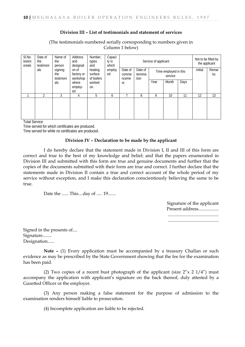#### **Division III – List of testimonials and statement of services**

(The testimonials numbered serially corresponding to numbers given in Column 1 below)

| SI.No.<br>testim<br>onials | Date of<br>the<br>testimoni<br>als | Name of<br>the<br>person<br>signing<br>the<br>testimoni<br>als | Address<br>and<br>designati<br>on of<br>factory or<br>workshop<br>where<br>employ-<br>ed | Number,<br>types<br>and<br>heating<br>surface<br>of boilers<br>worked<br>on. | Capaci<br>ty in<br>which<br>employ<br>ed | Service of applicant            |                            |                                  |       | Not to be filled by<br>the applicant |             |    |
|----------------------------|------------------------------------|----------------------------------------------------------------|------------------------------------------------------------------------------------------|------------------------------------------------------------------------------|------------------------------------------|---------------------------------|----------------------------|----------------------------------|-------|--------------------------------------|-------------|----|
|                            |                                    |                                                                |                                                                                          |                                                                              |                                          | Date of<br>comme<br>nceme<br>nt | Date of<br>termina<br>tion | Time employed in this<br>service |       | Initial                              | Remar<br>ks |    |
|                            |                                    |                                                                |                                                                                          |                                                                              |                                          |                                 |                            | Year                             | Month | Days                                 |             |    |
|                            | C                                  | 3                                                              | 4                                                                                        | 5                                                                            | 6                                        |                                 | 8                          | 9                                | 10    | 11                                   | 12          | 13 |
|                            |                                    |                                                                |                                                                                          |                                                                              |                                          |                                 |                            |                                  |       |                                      |             |    |

Total Service

Time served for which certificates are produced.

Time served for while no certificates are produced.

#### **Division IV – Declaration to be made by the applicant**

I do hereby declare that the statement made in Division I, II and III of this form are correct and true to the best of my knowledge and belief; and that the papers enumerated in Division III and submitted with this form are true and genuine documents and further that the copies of the documents submitted with their form are true and correct. I further declare that the statements made in Division II contain a true and correct account of the whole period of my service without exception, and I make this declaration conscientiously believing the same to be true.

Date the ...... This....day of ..... 19.......

Signature of the applicant Present address.................. ............................................. .............................................

Signed in the presents of.... Signature........ Designation......

**Note –** (1) Every application must be accompanied by a treasury Challan or such evidence as may be prescribed by the State Government showing that the fee for the examination has been paid.

(2) Two copies of a recent bust photograph of the applicant (size  $2''x$  2  $1/4''$ ) must accompany the application with applicant's signature on the back thereof, duly attested by a Gazetted Officer or the employer.

(3) Any person making a false statement for the purpose of admission to the examination renders himself liable to prosecution.

(4) Incomplete application are liable to be rejected.